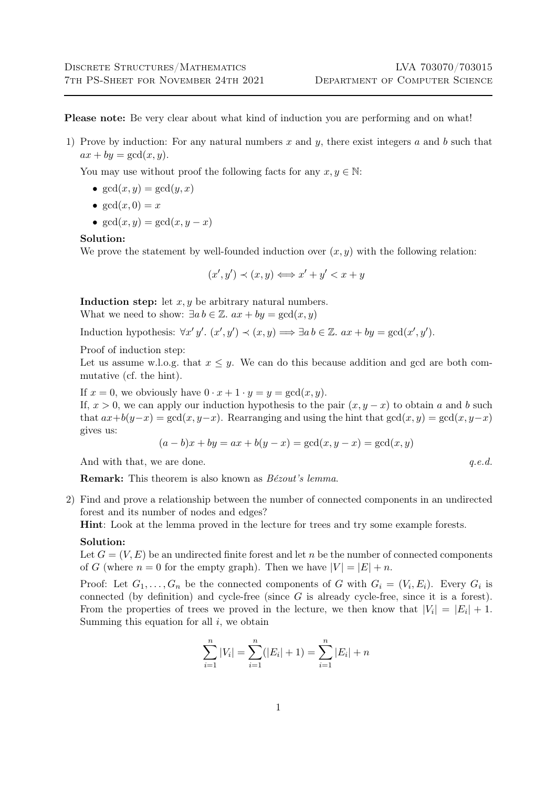Please note: Be very clear about what kind of induction you are performing and on what!

1) Prove by induction: For any natural numbers x and y, there exist integers a and b such that  $ax + by = \gcd(x, y)$ .

You may use without proof the following facts for any  $x, y \in \mathbb{N}$ :

- $gcd(x, y) = gcd(y, x)$
- $gcd(x, 0) = x$
- $gcd(x, y) = gcd(x, y x)$

## Solution:

We prove the statement by well-founded induction over  $(x, y)$  with the following relation:

$$
(x', y') \prec (x, y) \Longleftrightarrow x' + y' < x + y
$$

Induction step: let  $x, y$  be arbitrary natural numbers.

What we need to show:  $\exists a \, b \in \mathbb{Z}$ .  $ax + by = \gcd(x, y)$ 

Induction hypothesis:  $\forall x' y'$ .  $(x', y') \prec (x, y) \Longrightarrow \exists a \, b \in \mathbb{Z}$ .  $ax + by = \gcd(x', y')$ .

Proof of induction step:

Let us assume w.l.o.g. that  $x \leq y$ . We can do this because addition and gcd are both commutative (cf. the hint).

If  $x = 0$ , we obviously have  $0 \cdot x + 1 \cdot y = y = \gcd(x, y)$ .

If,  $x > 0$ , we can apply our induction hypothesis to the pair  $(x, y - x)$  to obtain a and b such that  $ax+b(y-x) = \gcd(x, y-x)$ . Rearranging and using the hint that  $\gcd(x, y) = \gcd(x, y-x)$ gives us:

$$
(a - b)x + by = ax + b(y - x) = \gcd(x, y - x) = \gcd(x, y)
$$

And with that, we are done.  $q.e.d.$ 

Remark: This theorem is also known as Bézout's lemma.

2) Find and prove a relationship between the number of connected components in an undirected forest and its number of nodes and edges?

Hint: Look at the lemma proved in the lecture for trees and try some example forests.

## Solution:

Let  $G = (V, E)$  be an undirected finite forest and let n be the number of connected components of G (where  $n = 0$  for the empty graph). Then we have  $|V| = |E| + n$ .

Proof: Let  $G_1, \ldots, G_n$  be the connected components of G with  $G_i = (V_i, E_i)$ . Every  $G_i$  is connected (by definition) and cycle-free (since  $G$  is already cycle-free, since it is a forest). From the properties of trees we proved in the lecture, we then know that  $|V_i| = |E_i| + 1$ . Summing this equation for all  $i$ , we obtain

$$
\sum_{i=1}^{n} |V_i| = \sum_{i=1}^{n} (|E_i| + 1) = \sum_{i=1}^{n} |E_i| + n
$$